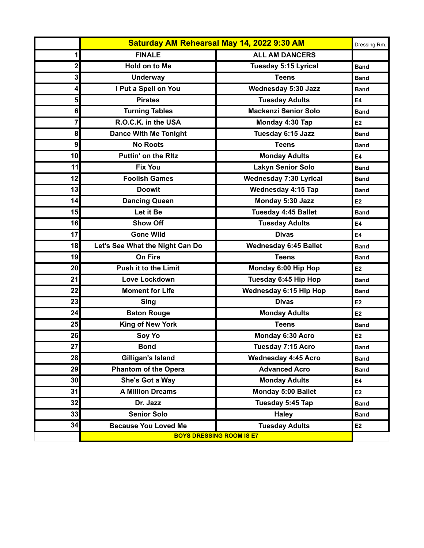|    | Saturday AM Rehearsal May 14, 2022 9:30 AM |                               | Dressing Rm.   |
|----|--------------------------------------------|-------------------------------|----------------|
| 1  | <b>FINALE</b>                              | <b>ALL AM DANCERS</b>         |                |
| 2  | Hold on to Me                              | <b>Tuesday 5:15 Lyrical</b>   | <b>Band</b>    |
| 3  | <b>Underway</b>                            | <b>Teens</b>                  | <b>Band</b>    |
| 4  | I Put a Spell on You                       | <b>Wednesday 5:30 Jazz</b>    | <b>Band</b>    |
| 5  | <b>Pirates</b>                             | <b>Tuesday Adults</b>         | E4             |
| 6  | <b>Turning Tables</b>                      | <b>Mackenzi Senior Solo</b>   | <b>Band</b>    |
| 7  | R.O.C.K. in the USA                        | Monday 4:30 Tap               | E <sub>2</sub> |
| 8  | <b>Dance With Me Tonight</b>               | Tuesday 6:15 Jazz             | <b>Band</b>    |
| 9  | <b>No Roots</b>                            | <b>Teens</b>                  | <b>Band</b>    |
| 10 | <b>Puttin' on the Ritz</b>                 | <b>Monday Adults</b>          | E4             |
| 11 | <b>Fix You</b>                             | <b>Lakyn Senior Solo</b>      | <b>Band</b>    |
| 12 | <b>Foolish Games</b>                       | <b>Wednesday 7:30 Lyrical</b> | <b>Band</b>    |
| 13 | <b>Doowit</b>                              | <b>Wednesday 4:15 Tap</b>     | <b>Band</b>    |
| 14 | <b>Dancing Queen</b>                       | Monday 5:30 Jazz              | E <sub>2</sub> |
| 15 | Let it Be                                  | Tuesday 4:45 Ballet           | <b>Band</b>    |
| 16 | <b>Show Off</b>                            | <b>Tuesday Adults</b>         | <b>E4</b>      |
| 17 | <b>Gone Wild</b>                           | <b>Divas</b>                  | <b>E4</b>      |
| 18 | Let's See What the Night Can Do            | <b>Wednesday 6:45 Ballet</b>  | <b>Band</b>    |
| 19 | <b>On Fire</b>                             | <b>Teens</b>                  | <b>Band</b>    |
| 20 | <b>Push it to the Limit</b>                | Monday 6:00 Hip Hop           | E <sub>2</sub> |
| 21 | <b>Love Lockdown</b>                       | Tuesday 6:45 Hip Hop          | <b>Band</b>    |
| 22 | <b>Moment for Life</b>                     | <b>Wednesday 6:15 Hip Hop</b> | <b>Band</b>    |
| 23 | <b>Sing</b>                                | <b>Divas</b>                  | E <sub>2</sub> |
| 24 | <b>Baton Rouge</b>                         | <b>Monday Adults</b>          | E <sub>2</sub> |
| 25 | King of New York                           | <b>Teens</b>                  | <b>Band</b>    |
| 26 | Soy Yo                                     | Monday 6:30 Acro              | E <sub>2</sub> |
| 27 | <b>Bond</b>                                | Tuesday 7:15 Acro             | <b>Band</b>    |
| 28 | Gilligan's Island                          | <b>Wednesday 4:45 Acro</b>    | <b>Band</b>    |
| 29 | <b>Phantom of the Opera</b>                | <b>Advanced Acro</b>          | <b>Band</b>    |
| 30 | She's Got a Way                            | <b>Monday Adults</b>          | E4             |
| 31 | <b>A Million Dreams</b>                    | Monday 5:00 Ballet            | E <sub>2</sub> |
| 32 | Dr. Jazz                                   | Tuesday 5:45 Tap              | <b>Band</b>    |
| 33 | <b>Senior Solo</b>                         | <b>Haley</b>                  | <b>Band</b>    |
| 34 | <b>Because You Loved Me</b>                | <b>Tuesday Adults</b>         | E2             |
|    | <b>BOYS DRESSING ROOM IS E7</b>            |                               |                |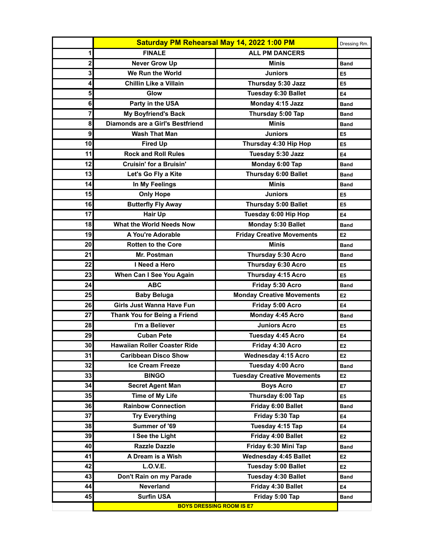|      |                                         | Saturday PM Rehearsal May 14, 2022 1:00 PM | Dressing Rm.   |
|------|-----------------------------------------|--------------------------------------------|----------------|
| 1    | <b>FINALE</b>                           | <b>ALL PM DANCERS</b>                      |                |
| 2    | <b>Never Grow Up</b>                    | <b>Minis</b>                               | <b>Band</b>    |
| 3    | We Run the World                        | Juniors                                    | E <sub>5</sub> |
| 4    | Chillin Like a Villain                  | Thursday 5:30 Jazz                         | E <sub>5</sub> |
| 5    | Glow                                    | Tuesday 6:30 Ballet                        | E4             |
| 6    | Party in the USA                        | Monday 4:15 Jazz                           | <b>Band</b>    |
| 7    | <b>My Boyfriend's Back</b>              | Thursday 5:00 Tap                          | <b>Band</b>    |
| 8    | <b>Diamonds are a Girl's Bestfriend</b> | <b>Minis</b>                               | <b>Band</b>    |
| 9    | <b>Wash That Man</b>                    | <b>Juniors</b>                             | E <sub>5</sub> |
| 10   | <b>Fired Up</b>                         | Thursday 4:30 Hip Hop                      | E <sub>5</sub> |
| 11   | <b>Rock and Roll Rules</b>              | Tuesday 5:30 Jazz                          | E4             |
| 12   | Cruisin' for a Bruisin'                 | Monday 6:00 Tap                            | <b>Band</b>    |
| 13   | Let's Go Fly a Kite                     | Thursday 6:00 Ballet                       | <b>Band</b>    |
| 14   | In My Feelings                          | <b>Minis</b>                               | <b>Band</b>    |
| 15   | <b>Only Hope</b>                        | <b>Juniors</b>                             | E <sub>5</sub> |
| 16   | <b>Butterfly Fly Away</b>               | <b>Thursday 5:00 Ballet</b>                | E <sub>5</sub> |
| 17   | Hair Up                                 | Tuesday 6:00 Hip Hop                       | E4             |
| 18   | What the World Needs Now                | Monday 5:30 Ballet                         | <b>Band</b>    |
| 19   | A You're Adorable                       | <b>Friday Creative Movements</b>           | E <sub>2</sub> |
| 20   | <b>Rotten to the Core</b>               | <b>Minis</b>                               | <b>Band</b>    |
| 21   | Mr. Postman                             | Thursday 5:30 Acro                         | <b>Band</b>    |
| 22   | I Need a Hero                           | Thursday 6:30 Acro                         | E <sub>5</sub> |
| 23   | When Can I See You Again                | Thursday 4:15 Acro                         | E <sub>5</sub> |
| 24   | <b>ABC</b>                              | Friday 5:30 Acro                           | <b>Band</b>    |
| 25   | <b>Baby Beluga</b>                      | <b>Monday Creative Movements</b>           | E <sub>2</sub> |
| 26   | Girls Just Wanna Have Fun               | Friday 5:00 Acro                           | E4             |
| 27   | Thank You for Being a Friend            | Monday 4:45 Acro                           | <b>Band</b>    |
| 28   | I'm a Believer                          | <b>Juniors Acro</b>                        | E <sub>5</sub> |
| 29   | <b>Cuban Pete</b>                       | Tuesday 4:45 Acro                          | <b>E4</b>      |
| 30 I | <b>Hawaiian Roller Coaster Ride</b>     | Friday 4:30 Acro                           | E2             |
| 31   | <b>Caribbean Disco Show</b>             | <b>Wednesday 4:15 Acro</b>                 | E <sub>2</sub> |
| 32   | <b>Ice Cream Freeze</b>                 | Tuesday 4:00 Acro                          | <b>Band</b>    |
| 33   | <b>BINGO</b>                            | <b>Tuesday Creative Movements</b>          | E <sub>2</sub> |
| 34   | <b>Secret Agent Man</b>                 | <b>Boys Acro</b>                           | <b>E7</b>      |
| 35   | <b>Time of My Life</b>                  | Thursday 6:00 Tap                          | E <sub>5</sub> |
| 36   | <b>Rainbow Connection</b>               | Friday 6:00 Ballet                         | <b>Band</b>    |
| 37   | <b>Try Everything</b>                   | Friday 5:30 Tap                            | E4             |
| 38   | Summer of '69                           | Tuesday 4:15 Tap                           | E4             |
| 39   | I See the Light                         | Friday 4:00 Ballet                         | E2             |
| 40   | <b>Razzle Dazzle</b>                    | Friday 6:30 Mini Tap                       | Band           |
| 41   | A Dream is a Wish                       | <b>Wednesday 4:45 Ballet</b>               | E <sub>2</sub> |
| 42   | <b>L.O.V.E.</b>                         | Tuesday 5:00 Ballet                        | E <sub>2</sub> |
| 43   | Don't Rain on my Parade                 | Tuesday 4:30 Ballet                        | <b>Band</b>    |
| 44   | <b>Neverland</b>                        | Friday 4:30 Ballet                         | E4             |
| 45   | <b>Surfin USA</b>                       | Friday 5:00 Tap                            | <b>Band</b>    |
|      |                                         | <b>BOYS DRESSING ROOM IS E7</b>            |                |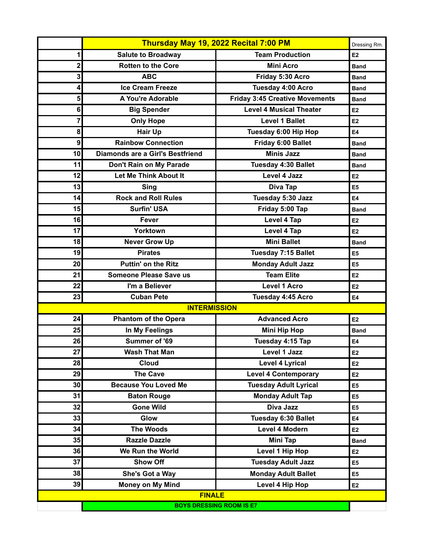|                                 | Thursday May 19, 2022 Recital 7:00 PM |                                       | Dressing Rm.   |
|---------------------------------|---------------------------------------|---------------------------------------|----------------|
| 1                               | <b>Salute to Broadway</b>             | <b>Team Production</b>                | E <sub>2</sub> |
| 2                               | <b>Rotten to the Core</b>             | <b>Mini Acro</b>                      | <b>Band</b>    |
| 3                               | <b>ABC</b>                            | Friday 5:30 Acro                      | <b>Band</b>    |
| 4                               | <b>Ice Cream Freeze</b>               | Tuesday 4:00 Acro                     | <b>Band</b>    |
| 5                               | A You're Adorable                     | <b>Friday 3:45 Creative Movements</b> | <b>Band</b>    |
| 6                               | <b>Big Spender</b>                    | <b>Level 4 Musical Theater</b>        | E2             |
| 7                               | <b>Only Hope</b>                      | <b>Level 1 Ballet</b>                 | E2             |
| 8                               | <b>Hair Up</b>                        | Tuesday 6:00 Hip Hop                  | <b>E4</b>      |
| 9                               | <b>Rainbow Connection</b>             | Friday 6:00 Ballet                    | <b>Band</b>    |
| 10                              | Diamonds are a Girl's Bestfriend      | <b>Minis Jazz</b>                     | <b>Band</b>    |
| 11                              | Don't Rain on My Parade               | <b>Tuesday 4:30 Ballet</b>            | <b>Band</b>    |
| 12                              | Let Me Think About It                 | <b>Level 4 Jazz</b>                   | E <sub>2</sub> |
| 13                              | <b>Sing</b>                           | Diva Tap                              | E5             |
| 14                              | <b>Rock and Roll Rules</b>            | Tuesday 5:30 Jazz                     | E4             |
| 15                              | <b>Surfin' USA</b>                    | Friday 5:00 Tap                       | <b>Band</b>    |
| 16                              | <b>Fever</b>                          | <b>Level 4 Tap</b>                    | E2             |
| 17                              | Yorktown                              | Level 4 Tap                           | E2             |
| 18                              | <b>Never Grow Up</b>                  | <b>Mini Ballet</b>                    | <b>Band</b>    |
| 19                              | <b>Pirates</b>                        | Tuesday 7:15 Ballet                   | E <sub>5</sub> |
| 20                              | <b>Puttin' on the Ritz</b>            | <b>Monday Adult Jazz</b>              | E5             |
| 21                              | <b>Someone Please Save us</b>         | <b>Team Elite</b>                     | E <sub>2</sub> |
| 22                              | I'm a Believer                        | <b>Level 1 Acro</b>                   | E <sub>2</sub> |
| 23                              | <b>Cuban Pete</b>                     | Tuesday 4:45 Acro                     | <b>E4</b>      |
|                                 | <b>INTERMISSION</b>                   |                                       |                |
| 24                              | <b>Phantom of the Opera</b>           | <b>Advanced Acro</b>                  | E2             |
| 25                              | In My Feelings                        | <b>Mini Hip Hop</b>                   | <b>Band</b>    |
| 26                              | Summer of '69                         | Tuesday 4:15 Tap                      | E4             |
| 27                              | <b>Wash That Man</b>                  | Level 1 Jazz                          | E <sub>2</sub> |
| 28                              | <b>Cloud</b>                          | <b>Level 4 Lyrical</b>                | E2             |
| 29                              | <b>The Cave</b>                       | <b>Level 4 Contemporary</b>           | E2             |
| 30                              | <b>Because You Loved Me</b>           | <b>Tuesday Adult Lyrical</b>          | E <sub>5</sub> |
| 31                              | <b>Baton Rouge</b>                    | <b>Monday Adult Tap</b>               | E5             |
| 32                              | <b>Gone Wild</b>                      | Diva Jazz                             | E5             |
| 33                              | Glow                                  | Tuesday 6:30 Ballet                   | E4             |
| 34                              | <b>The Woods</b>                      | <b>Level 4 Modern</b>                 | E <sub>2</sub> |
| 35                              | <b>Razzle Dazzle</b>                  | Mini Tap                              | <b>Band</b>    |
| 36                              | We Run the World                      | Level 1 Hip Hop                       | E <sub>2</sub> |
| 37                              | <b>Show Off</b>                       | <b>Tuesday Adult Jazz</b>             | E <sub>5</sub> |
| 38                              | She's Got a Way                       | <b>Monday Adult Ballet</b>            | E5             |
| 39                              | <b>Money on My Mind</b>               | Level 4 Hip Hop                       | E2             |
| <b>FINALE</b>                   |                                       |                                       |                |
| <b>BOYS DRESSING ROOM IS E7</b> |                                       |                                       |                |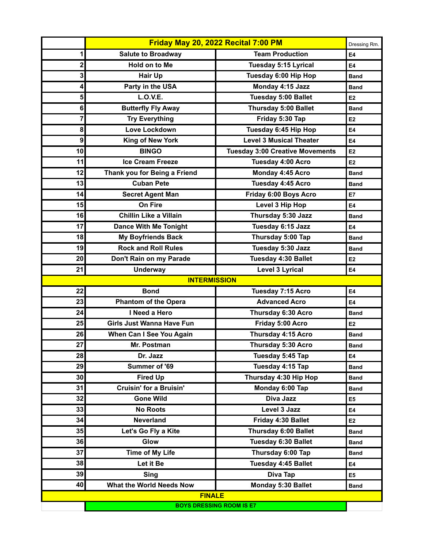|                                 | Friday May 20, 2022 Recital 7:00 PM |                                        | Dressing Rm.   |
|---------------------------------|-------------------------------------|----------------------------------------|----------------|
| 1                               | <b>Salute to Broadway</b>           | <b>Team Production</b>                 | E4             |
| 2                               | Hold on to Me                       | <b>Tuesday 5:15 Lyrical</b>            | E4             |
| 3                               | <b>Hair Up</b>                      | Tuesday 6:00 Hip Hop                   | <b>Band</b>    |
| 4                               | Party in the USA                    | Monday 4:15 Jazz                       | <b>Band</b>    |
| 5                               | <b>L.O.V.E.</b>                     | <b>Tuesday 5:00 Ballet</b>             | E <sub>2</sub> |
| 6                               | <b>Butterfly Fly Away</b>           | Thursday 5:00 Ballet                   | <b>Band</b>    |
| 7                               | <b>Try Everything</b>               | Friday 5:30 Tap                        | E2             |
| 8                               | Love Lockdown                       | Tuesday 6:45 Hip Hop                   | <b>E4</b>      |
| 9                               | <b>King of New York</b>             | <b>Level 3 Musical Theater</b>         | <b>E4</b>      |
| 10                              | <b>BINGO</b>                        | <b>Tuesday 3:00 Creative Movements</b> | E <sub>2</sub> |
| 11                              | <b>Ice Cream Freeze</b>             | <b>Tuesday 4:00 Acro</b>               | E <sub>2</sub> |
| 12                              | Thank you for Being a Friend        | Monday 4:45 Acro                       | <b>Band</b>    |
| 13                              | <b>Cuban Pete</b>                   | Tuesday 4:45 Acro                      | <b>Band</b>    |
| 14                              | <b>Secret Agent Man</b>             | Friday 6:00 Boys Acro                  | E7             |
| 15                              | On Fire                             | Level 3 Hip Hop                        | E4             |
| 16                              | <b>Chillin Like a Villain</b>       | Thursday 5:30 Jazz                     | <b>Band</b>    |
| 17                              | <b>Dance With Me Tonight</b>        | Tuesday 6:15 Jazz                      | <b>E4</b>      |
| 18                              | <b>My Boyfriends Back</b>           | Thursday 5:00 Tap                      | <b>Band</b>    |
| 19                              | <b>Rock and Roll Rules</b>          | Tuesday 5:30 Jazz                      | <b>Band</b>    |
| 20                              | Don't Rain on my Parade             | <b>Tuesday 4:30 Ballet</b>             | E <sub>2</sub> |
| 21                              | <b>Underway</b>                     | <b>Level 3 Lyrical</b>                 | E4             |
|                                 | <b>INTERMISSION</b>                 |                                        |                |
| 22                              | <b>Bond</b>                         | Tuesday 7:15 Acro                      | E4             |
| 23                              | <b>Phantom of the Opera</b>         | <b>Advanced Acro</b>                   | E4             |
| 24                              | I Need a Hero                       | Thursday 6:30 Acro                     | <b>Band</b>    |
| 25                              | <b>Girls Just Wanna Have Fun</b>    | Friday 5:00 Acro                       | E <sub>2</sub> |
| 26                              | When Can I See You Again            | Thursday 4:15 Acro                     | <b>Band</b>    |
| 27 <sup>1</sup>                 | Mr. Postman                         | <b>Thursday 5:30 Acro</b>              | <b>Band</b>    |
| 28                              | Dr. Jazz                            | Tuesday 5:45 Tap                       | E4             |
| 29                              | Summer of '69                       | Tuesday 4:15 Tap                       | <b>Band</b>    |
| 30                              | <b>Fired Up</b>                     | Thursday 4:30 Hip Hop                  | <b>Band</b>    |
| 31                              | <b>Cruisin' for a Bruisin'</b>      | Monday 6:00 Tap                        | <b>Band</b>    |
| 32                              | <b>Gone Wild</b>                    | Diva Jazz                              | E <sub>5</sub> |
| 33                              | <b>No Roots</b>                     | Level 3 Jazz                           | E4             |
| 34                              | <b>Neverland</b>                    | Friday 4:30 Ballet                     | E <sub>2</sub> |
| 35                              | Let's Go Fly a Kite                 | <b>Thursday 6:00 Ballet</b>            | <b>Band</b>    |
| 36                              | Glow                                | Tuesday 6:30 Ballet                    | <b>Band</b>    |
| 37                              | <b>Time of My Life</b>              | Thursday 6:00 Tap                      | Band           |
| 38                              | Let it Be                           | Tuesday 4:45 Ballet                    | E4             |
| 39                              | <b>Sing</b>                         | Diva Tap                               | E <sub>5</sub> |
| 40                              | What the World Needs Now            | Monday 5:30 Ballet                     | <b>Band</b>    |
|                                 | <b>FINALE</b>                       |                                        |                |
| <b>BOYS DRESSING ROOM IS E7</b> |                                     |                                        |                |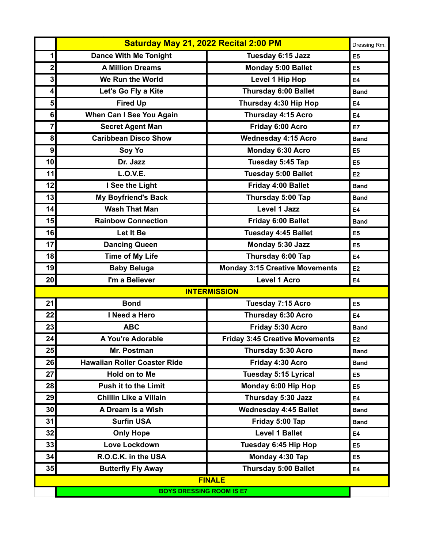|                  | Saturday May 21, 2022 Recital 2:00 PM |                                       | Dressing Rm.   |
|------------------|---------------------------------------|---------------------------------------|----------------|
| 1                | <b>Dance With Me Tonight</b>          | Tuesday 6:15 Jazz                     | E <sub>5</sub> |
| $\mathbf{2}$     | <b>A Million Dreams</b>               | Monday 5:00 Ballet                    | E <sub>5</sub> |
| 3                | We Run the World                      | Level 1 Hip Hop                       | <b>E4</b>      |
| 4                | Let's Go Fly a Kite                   | <b>Thursday 6:00 Ballet</b>           | <b>Band</b>    |
| 5                | <b>Fired Up</b>                       | Thursday 4:30 Hip Hop                 | <b>E4</b>      |
| 6                | When Can I See You Again              | Thursday 4:15 Acro                    | E4             |
| 7                | <b>Secret Agent Man</b>               | Friday 6:00 Acro                      | E7             |
| 8                | <b>Caribbean Disco Show</b>           | <b>Wednesday 4:15 Acro</b>            | <b>Band</b>    |
| $\boldsymbol{9}$ | Soy Yo                                | Monday 6:30 Acro                      | E <sub>5</sub> |
| 10               | Dr. Jazz                              | Tuesday 5:45 Tap                      | E <sub>5</sub> |
| 11               | L.O.V.E.                              | <b>Tuesday 5:00 Ballet</b>            | E <sub>2</sub> |
| 12               | I See the Light                       | Friday 4:00 Ballet                    | <b>Band</b>    |
| 13               | <b>My Boyfriend's Back</b>            | Thursday 5:00 Tap                     | <b>Band</b>    |
| 14               | <b>Wash That Man</b>                  | <b>Level 1 Jazz</b>                   | E4             |
| 15               | <b>Rainbow Connection</b>             | Friday 6:00 Ballet                    | <b>Band</b>    |
| 16               | Let It Be                             | Tuesday 4:45 Ballet                   | E <sub>5</sub> |
| 17               | <b>Dancing Queen</b>                  | Monday 5:30 Jazz                      | E <sub>5</sub> |
| 18               | <b>Time of My Life</b>                | Thursday 6:00 Tap                     | <b>E4</b>      |
| 19               | <b>Baby Beluga</b>                    | <b>Monday 3:15 Creative Movements</b> | E <sub>2</sub> |
| 20               | I'm a Believer                        | <b>Level 1 Acro</b>                   | E4             |
|                  |                                       | <b>INTERMISSION</b>                   |                |
| 21               | <b>Bond</b>                           | Tuesday 7:15 Acro                     | E <sub>5</sub> |
| 22               | I Need a Hero                         | Thursday 6:30 Acro                    | E4             |
| 23               | <b>ABC</b>                            | Friday 5:30 Acro                      | <b>Band</b>    |
| 24               | A You're Adorable                     | <b>Friday 3:45 Creative Movements</b> | E <sub>2</sub> |
| 25               | Mr. Postman                           | Thursday 5:30 Acro                    | <b>Band</b>    |
| 26               | <b>Hawaiian Roller Coaster Ride</b>   | Friday 4:30 Acro                      | <b>Band</b>    |
| 27               | <b>Hold on to Me</b>                  | <b>Tuesday 5:15 Lyrical</b>           | E <sub>5</sub> |
| 28               | <b>Push it to the Limit</b>           | Monday 6:00 Hip Hop                   | E <sub>5</sub> |
| 29               | <b>Chillin Like a Villain</b>         | Thursday 5:30 Jazz                    | E4             |
| 30 <sub>1</sub>  | A Dream is a Wish                     | <b>Wednesday 4:45 Ballet</b>          | <b>Band</b>    |
| 31               | <b>Surfin USA</b>                     | Friday 5:00 Tap                       | <b>Band</b>    |
| 32               | <b>Only Hope</b>                      | <b>Level 1 Ballet</b>                 | E4             |
| 33               | Love Lockdown                         | Tuesday 6:45 Hip Hop                  | E <sub>5</sub> |
| 34               | R.O.C.K. in the USA                   | Monday 4:30 Tap                       | E <sub>5</sub> |
| 35               | <b>Butterfly Fly Away</b>             | <b>Thursday 5:00 Ballet</b>           | E4             |
| <b>FINALE</b>    |                                       |                                       |                |
|                  | <b>BOYS DRESSING ROOM IS E7</b>       |                                       |                |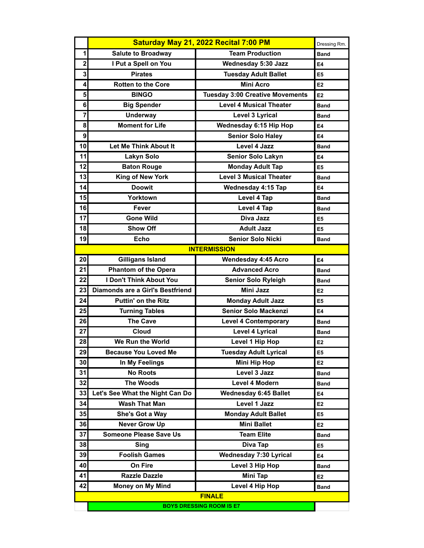|                                 | Saturday May 21, 2022 Recital 7:00 PM |                                        | Dressing Rm.   |
|---------------------------------|---------------------------------------|----------------------------------------|----------------|
| 1                               | <b>Salute to Broadway</b>             | <b>Team Production</b>                 | <b>Band</b>    |
| $\mathbf 2$                     | I Put a Spell on You                  | <b>Wednesday 5:30 Jazz</b>             | E4             |
| 3                               | <b>Pirates</b>                        | <b>Tuesday Adult Ballet</b>            | E5             |
| 4                               | <b>Rotten to the Core</b>             | <b>Mini Acro</b>                       | E <sub>2</sub> |
| 5                               | <b>BINGO</b>                          | <b>Tuesday 3:00 Creative Movements</b> | E <sub>2</sub> |
| 6                               | <b>Big Spender</b>                    | <b>Level 4 Musical Theater</b>         | <b>Band</b>    |
| $\overline{7}$                  | <b>Underway</b>                       | Level 3 Lyrical                        | <b>Band</b>    |
| 8                               | <b>Moment for Life</b>                | Wednesday 6:15 Hip Hop                 | E4             |
| 9                               |                                       | <b>Senior Solo Haley</b>               | E4             |
| 10                              | Let Me Think About It                 | Level 4 Jazz                           | <b>Band</b>    |
| 11                              | <b>Lakyn Solo</b>                     | <b>Senior Solo Lakyn</b>               | E4             |
| 12                              | <b>Baton Rouge</b>                    | <b>Monday Adult Tap</b>                | E5             |
| 13                              | King of New York                      | <b>Level 3 Musical Theater</b>         | <b>Band</b>    |
| 14                              | <b>Doowit</b>                         | Wednesday 4:15 Tap                     | E4             |
| 15                              | Yorktown                              | Level 4 Tap                            | <b>Band</b>    |
| 16                              | Fever                                 | Level 4 Tap                            | <b>Band</b>    |
| 17                              | <b>Gone Wild</b>                      | Diva Jazz                              | E5             |
| 18                              | <b>Show Off</b>                       | <b>Adult Jazz</b>                      | E5             |
| 19                              | <b>Echo</b>                           | <b>Senior Solo Nicki</b>               | <b>Band</b>    |
|                                 |                                       | <b>INTERMISSION</b>                    |                |
| 20                              | <b>Gilligans Island</b>               | <b>Wendesday 4:45 Acro</b>             | E4             |
| 21                              | <b>Phantom of the Opera</b>           | <b>Advanced Acro</b>                   | <b>Band</b>    |
| 22                              | <b>I Don't Think About You</b>        | <b>Senior Solo Ryleigh</b>             | <b>Band</b>    |
| 23                              | Diamonds are a Girl's Bestfriend      | <b>Mini Jazz</b>                       | E <sub>2</sub> |
| 24                              | <b>Puttin' on the Ritz</b>            | <b>Monday Adult Jazz</b>               | E5             |
| 25                              | <b>Turning Tables</b>                 | <b>Senior Solo Mackenzi</b>            | E4             |
| 26                              | <b>The Cave</b>                       | <b>Level 4 Contemporary</b>            | <b>Band</b>    |
| 27                              | Cloud                                 | <b>Level 4 Lyrical</b>                 | <b>Band</b>    |
| 28                              | We Run the World                      | Level 1 Hip Hop                        | E <sub>2</sub> |
| 29                              | <b>Because You Loved Me</b>           | <b>Tuesday Adult Lyrical</b>           | E <sub>5</sub> |
| 30 <sup>°</sup>                 | In My Feelings                        | <b>Mini Hip Hop</b>                    | E <sub>2</sub> |
| 31                              | <b>No Roots</b>                       | Level 3 Jazz                           | Band           |
| 32                              | <b>The Woods</b>                      | Level 4 Modern                         | <b>Band</b>    |
| 33                              | Let's See What the Night Can Do       | <b>Wednesday 6:45 Ballet</b>           | E4             |
| 34                              | <b>Wash That Man</b>                  | Level 1 Jazz                           | E <sub>2</sub> |
| 35                              | She's Got a Way                       | <b>Monday Adult Ballet</b>             | E5             |
| 36                              | <b>Never Grow Up</b>                  | <b>Mini Ballet</b>                     | E <sub>2</sub> |
| 37                              | <b>Someone Please Save Us</b>         | Team Elite                             | <b>Band</b>    |
| 38                              | Sing                                  | Diva Tap                               | E5             |
| 39                              | <b>Foolish Games</b>                  | <b>Wednesday 7:30 Lyrical</b>          | E4             |
| 40                              | On Fire                               | Level 3 Hip Hop                        | <b>Band</b>    |
| 41                              | <b>Razzle Dazzle</b>                  | <b>Mini Tap</b>                        | E <sub>2</sub> |
| 42                              | <b>Money on My Mind</b>               | Level 4 Hip Hop                        | <b>Band</b>    |
| <b>FINALE</b>                   |                                       |                                        |                |
| <b>BOYS DRESSING ROOM IS E7</b> |                                       |                                        |                |